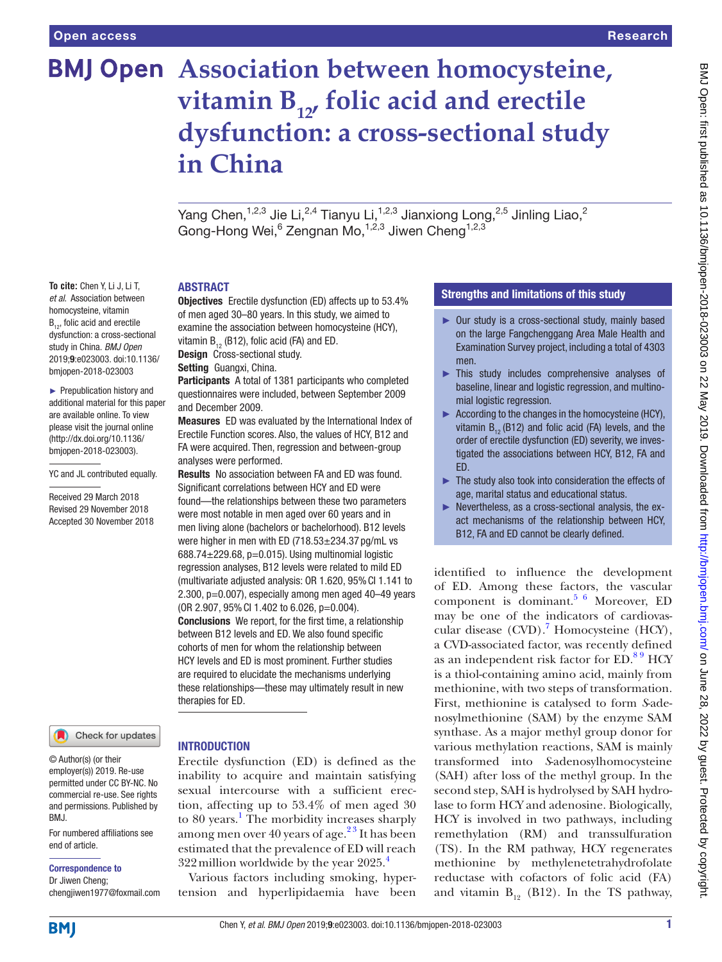# **BMJ Open** Association between homocysteine, vitamin B<sub>12</sub>, folic acid and erectile **dysfunction: a cross-sectional study in China**

Yang Chen,<sup>1,2,3</sup> Jie Li,<sup>2,4</sup> Tianyu Li,<sup>1,2,3</sup> Jianxiong Long,<sup>2,5</sup> Jinling Liao,<sup>2</sup> Gong-Hong Wei, <sup>6</sup> Zengnan Mo, <sup>1,2,3</sup> Jiwen Cheng<sup>1,2,3</sup>

#### **ABSTRACT**

Objectives Erectile dysfunction (ED) affects up to 53.4% of men aged 30–80 years. In this study, we aimed to examine the association between homocysteine (HCY), vitamin  $B_{12}$  (B12), folic acid (FA) and ED. Design Cross-sectional study.

Setting Guangxi, China.

Participants A total of 1381 participants who completed questionnaires were included, between September 2009 and December 2009.

Measures ED was evaluated by the International Index of Erectile Function scores. Also, the values of HCY, B12 and FA were acquired. Then, regression and between-group analyses were performed.

Results No association between FA and ED was found. Significant correlations between HCY and ED were found—the relationships between these two parameters were most notable in men aged over 60 years and in men living alone (bachelors or bachelorhood). B12 levels were higher in men with ED (718.53±234.37 pg/mL vs 688.74 $\pm$ 229.68, p=0.015). Using multinomial logistic regression analyses, B12 levels were related to mild ED (multivariate adjusted analysis: OR 1.620, 95%CI 1.141 to 2.300, p=0.007), especially among men aged 40–49 years (OR 2.907, 95%CI 1.402 to 6.026, p=0.004). Conclusions We report, for the first time, a relationship between B12 levels and ED. We also found specific cohorts of men for whom the relationship between HCY levels and ED is most prominent. Further studies are required to elucidate the mechanisms underlying these relationships—these may ultimately result in new therapies for ED.

#### *et al*. Association between homocysteine, vitamin B<sub>12</sub>, folic acid and erectile dysfunction: a cross-sectional study in China. *BMJ Open*

► Prepublication history and additional material for this paper are available online. To view please visit the journal online [\(http://dx.doi.org/10.1136/](http://dx.doi.org/10.1136/bmjopen-2018-023003) [bmjopen-2018-023003](http://dx.doi.org/10.1136/bmjopen-2018-023003)).

2019;9:e023003. doi:10.1136/ bmjopen-2018-023003

**To cite:** Chen Y, Li J, Li T,

YC and JL contributed equally.

Received 29 March 2018 Revised 29 November 2018 Accepted 30 November 2018

#### Check for updates

© Author(s) (or their employer(s)) 2019. Re-use permitted under CC BY-NC. No commercial re-use. See rights and permissions. Published by BMJ.

For numbered affiliations see end of article.

Correspondence to

Dr Jiwen Cheng; chengjiwen1977@foxmail.com

#### **INTRODUCTION**

Erectile dysfunction (ED) is defined as the inability to acquire and maintain satisfying sexual intercourse with a sufficient erection, affecting up to 53.4% of men aged 30 to 80 years.<sup>[1](#page-6-0)</sup> The morbidity increases sharply among men over 40 years of age. $2<sup>3</sup>$  It has been estimated that the prevalence of ED will reach  $322$  million worldwide by the year  $2025.^4$ 

Various factors including smoking, hypertension and hyperlipidaemia have been

### Strengths and limitations of this study

- ► Our study is a cross-sectional study, mainly based on the large Fangchenggang Area Male Health and Examination Survey project, including a total of 4303 men.
- ► This study includes comprehensive analyses of baseline, linear and logistic regression, and multinomial logistic regression.
- ► According to the changes in the homocysteine (HCY), vitamin  $B_{12}$  (B12) and folic acid (FA) levels, and the order of erectile dysfunction (ED) severity, we investigated the associations between HCY, B12, FA and ED.
- ► The study also took into consideration the effects of age, marital status and educational status.
- ► Nevertheless, as a cross-sectional analysis, the exact mechanisms of the relationship between HCY, B12, FA and ED cannot be clearly defined.

identified to influence the development of ED. Among these factors, the vascular component is dominant.<sup>5 6</sup> Moreover, ED may be one of the indicators of cardiovas-cular disease (CVD).<sup>[7](#page-6-4)</sup> Homocysteine (HCY), a CVD-associated factor, was recently defined as an independent risk factor for ED.<sup>89</sup> HCY is a thiol-containing amino acid, mainly from methionine, with two steps of transformation. First, methionine is catalysed to form *S*-adenosylmethionine (SAM) by the enzyme SAM synthase. As a major methyl group donor for various methylation reactions, SAM is mainly transformed into *S*-adenosylhomocysteine (SAH) after loss of the methyl group. In the second step, SAH is hydrolysed by SAH hydrolase to form HCY and adenosine. Biologically, HCY is involved in two pathways, including remethylation (RM) and transsulfuration (TS). In the RM pathway, HCY regenerates methionine by methylenetetrahydrofolate reductase with cofactors of folic acid (FA) and vitamin  $B_{12}$  (B12). In the TS pathway,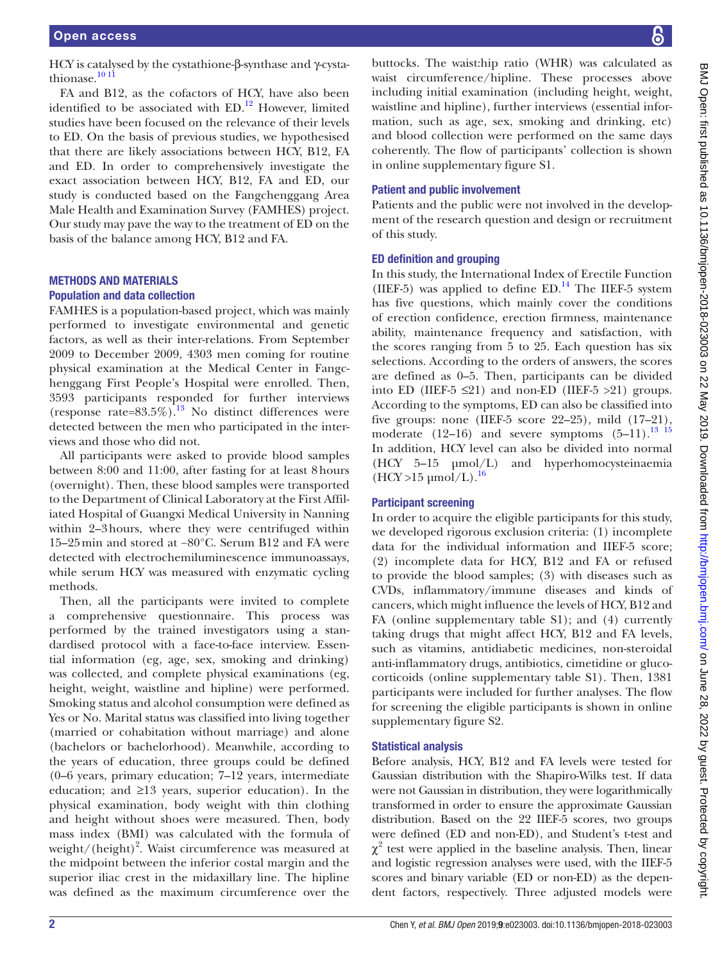HCY is catalysed by the cystathione-β-synthase and γ-cystathionase.<sup>10 11</sup>

FA and B12, as the cofactors of HCY, have also been identified to be associated with  $ED<sup>12</sup>$  However, limited studies have been focused on the relevance of their levels to ED. On the basis of previous studies, we hypothesised that there are likely associations between HCY, B12, FA and ED. In order to comprehensively investigate the exact association between HCY, B12, FA and ED, our study is conducted based on the Fangchenggang Area Male Health and Examination Survey (FAMHES) project. Our study may pave the way to the treatment of ED on the basis of the balance among HCY, B12 and FA.

# Methods and materials

#### Population and data collection

FAMHES is a population-based project, which was mainly performed to investigate environmental and genetic factors, as well as their inter-relations. From September 2009 to December 2009, 4303 men coming for routine physical examination at the Medical Center in Fangchenggang First People's Hospital were enrolled. Then, 3593 participants responded for further interviews (response rate=83.5%).<sup>13</sup> No distinct differences were detected between the men who participated in the interviews and those who did not.

All participants were asked to provide blood samples between 8:00 and 11:00, after fasting for at least 8hours (overnight). Then, these blood samples were transported to the Department of Clinical Laboratory at the First Affiliated Hospital of Guangxi Medical University in Nanning within 2–3hours, where they were centrifuged within 15–25min and stored at −80°C. Serum B12 and FA were detected with electrochemiluminescence immunoassays, while serum HCY was measured with enzymatic cycling methods.

Then, all the participants were invited to complete a comprehensive questionnaire. This process was performed by the trained investigators using a standardised protocol with a face-to-face interview. Essential information (eg, age, sex, smoking and drinking) was collected, and complete physical examinations (eg, height, weight, waistline and hipline) were performed. Smoking status and alcohol consumption were defined as Yes or No. Marital status was classified into living together (married or cohabitation without marriage) and alone (bachelors or bachelorhood). Meanwhile, according to the years of education, three groups could be defined (0–6 years, primary education; 7–12 years, intermediate education; and ≥13 years, superior education). In the physical examination, body weight with thin clothing and height without shoes were measured. Then, body mass index (BMI) was calculated with the formula of weight/(height)<sup>2</sup>. Waist circumference was measured at the midpoint between the inferior costal margin and the superior iliac crest in the midaxillary line. The hipline was defined as the maximum circumference over the

buttocks. The waist:hip ratio (WHR) was calculated as waist circumference/hipline. These processes above including initial examination (including height, weight, waistline and hipline), further interviews (essential information, such as age, sex, smoking and drinking, etc) and blood collection were performed on the same days coherently. The flow of participants' collection is shown in online [supplementary figure S1](https://dx.doi.org/10.1136/bmjopen-2018-023003).

### Patient and public involvement

Patients and the public were not involved in the development of the research question and design or recruitment of this study.

# ED definition and grouping

In this study, the International Index of Erectile Function (IIEF-5) was applied to define  $ED.^{14}$ . The IIEF-5 system has five questions, which mainly cover the conditions of erection confidence, erection firmness, maintenance ability, maintenance frequency and satisfaction, with the scores ranging from 5 to 25. Each question has six selections. According to the orders of answers, the scores are defined as 0–5. Then, participants can be divided into ED (IIEF-5  $\leq$ 21) and non-ED (IIEF-5 >21) groups. According to the symptoms, ED can also be classified into five groups: none (IIEF-5 score 22–25), mild (17–21), moderate  $(12-16)$  and severe symptoms  $(5-11).^{13}$  15 In addition, HCY level can also be divided into normal (HCY 5–15 µmol/L) and hyperhomocysteinaemia  $(HCY > 15 \mu mol/L).$ <sup>[16](#page-6-10)</sup>

# Participant screening

In order to acquire the eligible participants for this study, we developed rigorous exclusion criteria: (1) incomplete data for the individual information and IIEF-5 score; (2) incomplete data for HCY, B12 and FA or refused to provide the blood samples; (3) with diseases such as CVDs, inflammatory/immune diseases and kinds of cancers, which might influence the levels of HCY, B12 and FA (online [supplementary table S1\)](https://dx.doi.org/10.1136/bmjopen-2018-023003); and (4) currently taking drugs that might affect HCY, B12 and FA levels, such as vitamins, antidiabetic medicines, non-steroidal anti-inflammatory drugs, antibiotics, cimetidine or glucocorticoids (online [supplementary table S1](https://dx.doi.org/10.1136/bmjopen-2018-023003)). Then, 1381 participants were included for further analyses. The flow for screening the eligible participants is shown in online [supplementary figure S2](https://dx.doi.org/10.1136/bmjopen-2018-023003).

# Statistical analysis

Before analysis, HCY, B12 and FA levels were tested for Gaussian distribution with the Shapiro-Wilks test. If data were not Gaussian in distribution, they were logarithmically transformed in order to ensure the approximate Gaussian distribution. Based on the 22 IIEF-5 scores, two groups were defined (ED and non-ED), and Student's t-test and  $\chi^2$  test were applied in the baseline analysis. Then, linear and logistic regression analyses were used, with the IIEF-5 scores and binary variable (ED or non-ED) as the dependent factors, respectively. Three adjusted models were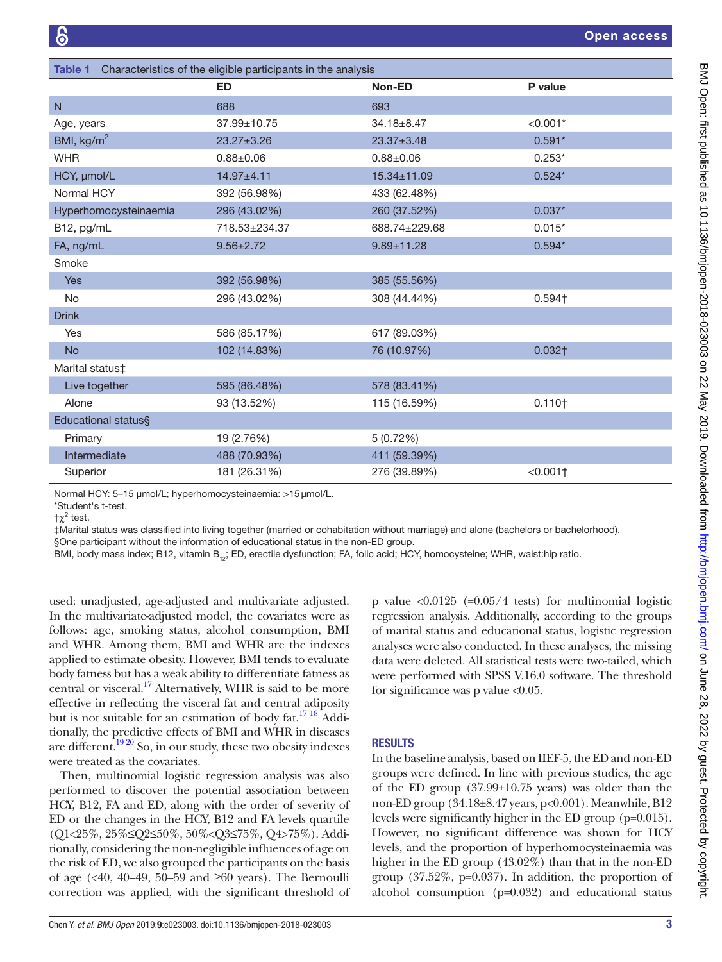<span id="page-2-0"></span>

| Characteristics of the eligible participants in the analysis<br><b>Table 1</b> |                  |                  |                        |  |  |  |  |  |
|--------------------------------------------------------------------------------|------------------|------------------|------------------------|--|--|--|--|--|
|                                                                                | <b>ED</b>        | Non-ED           | P value                |  |  |  |  |  |
| N                                                                              | 688              | 693              |                        |  |  |  |  |  |
| Age, years                                                                     | 37.99±10.75      | $34.18 \pm 8.47$ | $< 0.001*$             |  |  |  |  |  |
| BMI, kg/m <sup>2</sup>                                                         | $23.27 \pm 3.26$ | $23.37 \pm 3.48$ | $0.591*$               |  |  |  |  |  |
| <b>WHR</b>                                                                     | $0.88 \pm 0.06$  | $0.88 + 0.06$    | $0.253*$               |  |  |  |  |  |
| HCY, µmol/L                                                                    | 14.97±4.11       | 15.34±11.09      | $0.524*$               |  |  |  |  |  |
| Normal HCY                                                                     | 392 (56.98%)     | 433 (62.48%)     |                        |  |  |  |  |  |
| Hyperhomocysteinaemia                                                          | 296 (43.02%)     | 260 (37.52%)     | $0.037*$               |  |  |  |  |  |
| B12, pg/mL                                                                     | 718.53±234.37    | 688.74±229.68    | $0.015*$               |  |  |  |  |  |
| FA, ng/mL                                                                      | $9.56 \pm 2.72$  | $9.89 + 11.28$   | $0.594*$               |  |  |  |  |  |
| Smoke                                                                          |                  |                  |                        |  |  |  |  |  |
| <b>Yes</b>                                                                     | 392 (56.98%)     | 385 (55.56%)     |                        |  |  |  |  |  |
| <b>No</b>                                                                      | 296 (43.02%)     | 308 (44.44%)     | $0.594 +$              |  |  |  |  |  |
| <b>Drink</b>                                                                   |                  |                  |                        |  |  |  |  |  |
| Yes                                                                            | 586 (85.17%)     | 617 (89.03%)     |                        |  |  |  |  |  |
| <b>No</b>                                                                      | 102 (14.83%)     | 76 (10.97%)      | $0.032+$               |  |  |  |  |  |
| Marital status‡                                                                |                  |                  |                        |  |  |  |  |  |
| Live together                                                                  | 595 (86.48%)     | 578 (83.41%)     |                        |  |  |  |  |  |
| Alone                                                                          | 93 (13.52%)      | 115 (16.59%)     | 0.110 <sub>†</sub>     |  |  |  |  |  |
| Educational status§                                                            |                  |                  |                        |  |  |  |  |  |
| Primary                                                                        | 19 (2.76%)       | 5(0.72%)         |                        |  |  |  |  |  |
| Intermediate                                                                   | 488 (70.93%)     | 411 (59.39%)     |                        |  |  |  |  |  |
| Superior                                                                       | 181 (26.31%)     | 276 (39.89%)     | $< 0.001$ <sup>+</sup> |  |  |  |  |  |

Normal HCY: 5–15 µmol/L; hyperhomocysteinaemia: >15µmol/L.

‡Marital status was classified into living together (married or cohabitation without marriage) and alone (bachelors or bachelorhood).

§One participant without the information of educational status in the non-ED group.

BMI, body mass index; B12, vitamin B<sub>12</sub>; ED, erectile dysfunction; FA, folic acid; HCY, homocysteine; WHR, waist:hip ratio.

used: unadjusted, age-adjusted and multivariate adjusted. In the multivariate-adjusted model, the covariates were as follows: age, smoking status, alcohol consumption, BMI and WHR. Among them, BMI and WHR are the indexes applied to estimate obesity. However, BMI tends to evaluate body fatness but has a weak ability to differentiate fatness as central or visceral.<sup>17</sup> Alternatively, WHR is said to be more effective in reflecting the visceral fat and central adiposity but is not suitable for an estimation of body fat.<sup>[17 18](#page-6-11)</sup> Additionally, the predictive effects of BMI and WHR in diseases are different.<sup>19 20</sup> So, in our study, these two obesity indexes were treated as the covariates.

Then, multinomial logistic regression analysis was also performed to discover the potential association between HCY, B12, FA and ED, along with the order of severity of ED or the changes in the HCY, B12 and FA levels quartile (Q1<25%, 25%≤Q2≤50%, 50%<Q3≤75%, Q4>75%). Additionally, considering the non-negligible influences of age on the risk of ED, we also grouped the participants on the basis of age ( $\leq 40$ , 40–49, 50–59 and  $\geq 60$  years). The Bernoulli correction was applied, with the significant threshold of p value  $\langle 0.0125 \rangle$  (=0.05/4 tests) for multinomial logistic regression analysis. Additionally, according to the groups of marital status and educational status, logistic regression analyses were also conducted. In these analyses, the missing data were deleted. All statistical tests were two-tailed, which were performed with SPSS V.16.0 software. The threshold for significance was p value <0.05.

#### **RESULTS**

In the baseline analysis, based on IIEF-5, the ED and non-ED groups were defined. In line with previous studies, the age of the ED group (37.99±10.75 years) was older than the non-ED group (34.18±8.47 years, p<0.001). Meanwhile, B12 levels were significantly higher in the ED group (p=0.015). However, no significant difference was shown for HCY levels, and the proportion of hyperhomocysteinaemia was higher in the ED group (43.02%) than that in the non-ED group (37.52%, p=0.037). In addition, the proportion of alcohol consumption (p=0.032) and educational status

<sup>\*</sup>Student's t-test.  $\uparrow \chi^2$  test.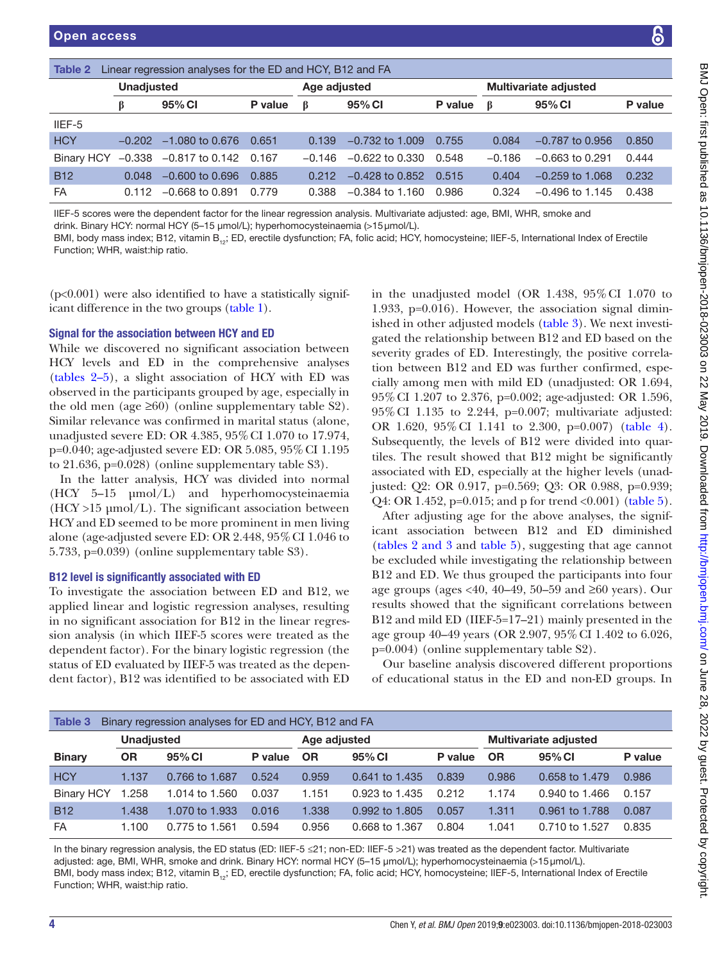<span id="page-3-0"></span>

| Table 2                         |                   | Linear regression analyses for the ED and HCY, B12 and FA                        |         |              |                                                                                                                             |         |          |                                                                                                                                                           |         |
|---------------------------------|-------------------|----------------------------------------------------------------------------------|---------|--------------|-----------------------------------------------------------------------------------------------------------------------------|---------|----------|-----------------------------------------------------------------------------------------------------------------------------------------------------------|---------|
|                                 | <b>Unadjusted</b> |                                                                                  |         | Age adjusted |                                                                                                                             |         |          | <b>Multivariate adjusted</b>                                                                                                                              |         |
|                                 | β                 | 95% CI                                                                           | P value | B            | 95% CI                                                                                                                      | P value | ß        | 95% CI                                                                                                                                                    | P value |
| IIEF-5                          |                   |                                                                                  |         |              |                                                                                                                             |         |          |                                                                                                                                                           |         |
| <b>HCY</b>                      | $-0.202$          | $-1.080$ to 0.676                                                                | 0.651   | 0.139        | $-0.732$ to 1.009                                                                                                           | 0.755   | 0.084    | $-0.787$ to 0.956                                                                                                                                         | 0.850   |
| <b>Binary HCY</b>               |                   | $-0.338$ $-0.817$ to 0.142                                                       | 0.167   | $-0.146$     | $-0.622$ to 0.330                                                                                                           | 0.548   | $-0.186$ | $-0.663$ to 0.291                                                                                                                                         | 0.444   |
| <b>B12</b>                      | 0.048             | $-0.600$ to 0.696                                                                | 0.885   | 0.212        | $-0.428$ to 0.852                                                                                                           | 0.515   | 0.404    | $-0.259$ to 1.068                                                                                                                                         | 0.232   |
| FA                              | 0.112             | $-0.668$ to 0.891                                                                | 0.779   | 0.388        | $-0.384$ to 1.160                                                                                                           | 0.986   | 0.324    | $-0.496$ to 1.145                                                                                                                                         | 0.438   |
| Function; WHR, waist:hip ratio. |                   | drink. Binary HCY: normal HCY (5–15 µmol/L); hyperhomocysteinaemia (>15 µmol/L). |         |              | IIEF-5 scores were the dependent factor for the linear regression analysis. Multivariate adjusted: age, BMI, WHR, smoke and |         |          | BMI, body mass index; B12, vitamin B <sub>12</sub> ; ED, erectile dysfunction; FA, folic acid; HCY, homocysteine; IIEF-5, International Index of Erectile |         |

 $(p<0.001)$  were also identified to have a statistically significant difference in the two groups [\(table](#page-2-0) 1).

# Signal for the association between HCY and ED

While we discovered no significant association between HCY levels and ED in the comprehensive analyses ([tables](#page-3-0) 2–5), a slight association of HCY with ED was observed in the participants grouped by age, especially in the old men (age  $\geq 60$ ) (online [supplementary table S2](https://dx.doi.org/10.1136/bmjopen-2018-023003)). Similar relevance was confirmed in marital status (alone, unadjusted severe ED: OR 4.385, 95%CI 1.070 to 17.974, p=0.040; age-adjusted severe ED: OR 5.085, 95%CI 1.195 to 21.636, p=0.028) (online [supplementary table S3](https://dx.doi.org/10.1136/bmjopen-2018-023003)).

In the latter analysis, HCY was divided into normal (HCY 5–15 µmol/L) and hyperhomocysteinaemia  $(HCY > 15 \mu mol/L)$ . The significant association between HCY and ED seemed to be more prominent in men living alone (age-adjusted severe ED: OR 2.448, 95%CI 1.046 to 5.733, p=0.039) (online [supplementary table S3](https://dx.doi.org/10.1136/bmjopen-2018-023003)).

# B12 level is significantly associated with ED

To investigate the association between ED and B12, we applied linear and logistic regression analyses, resulting in no significant association for B12 in the linear regression analysis (in which IIEF-5 scores were treated as the dependent factor). For the binary logistic regression (the status of ED evaluated by IIEF-5 was treated as the dependent factor), B12 was identified to be associated with ED

in the unadjusted model (OR 1.438, 95%CI 1.070 to 1.933, p=0.016). However, the association signal diminished in other adjusted models [\(table](#page-3-1) 3). We next investigated the relationship between B12 and ED based on the severity grades of ED. Interestingly, the positive correlation between B12 and ED was further confirmed, especially among men with mild ED (unadjusted: OR 1.694, 95%CI 1.207 to 2.376, p=0.002; age-adjusted: OR 1.596, 95%CI 1.135 to 2.244, p=0.007; multivariate adjusted: OR 1.620, 95%CI 1.141 to 2.300, p=0.007) [\(table](#page-4-0) 4). Subsequently, the levels of B12 were divided into quartiles. The result showed that B12 might be significantly associated with ED, especially at the higher levels (unadjusted: Q2: OR 0.917, p=0.569; Q3: OR 0.988, p=0.939; Q4: OR 1.452, p=0.015; and p for trend <0.001) ([table](#page-5-0) 5).

After adjusting age for the above analyses, the significant association between B12 and ED diminished (tables [2 and 3](#page-3-0) and [table](#page-5-0) 5), suggesting that age cannot be excluded while investigating the relationship between B12 and ED. We thus grouped the participants into four age groups (ages <40, 40–49, 50–59 and  $\geq 60$  years). Our results showed that the significant correlations between B12 and mild ED (IIEF-5=17–21) mainly presented in the age group 40–49 years (OR 2.907, 95%CI 1.402 to 6.026, p=0.004) (online [supplementary table S2](https://dx.doi.org/10.1136/bmjopen-2018-023003)).

Our baseline analysis discovered different proportions of educational status in the ED and non-ED groups. In

<span id="page-3-1"></span>

| Table 3           |                   | Binary regression analyses for ED and HCY, B12 and FA |         |              |                |         |           |                              |         |
|-------------------|-------------------|-------------------------------------------------------|---------|--------------|----------------|---------|-----------|------------------------------|---------|
|                   | <b>Unadiusted</b> |                                                       |         | Age adjusted |                |         |           | <b>Multivariate adjusted</b> |         |
| <b>Binary</b>     | <b>OR</b>         | 95% CI                                                | P value | <b>OR</b>    | 95% CI         | P value | <b>OR</b> | 95% CI                       | P value |
| <b>HCY</b>        | 1.137             | 0.766 to 1.687                                        | 0.524   | 0.959        | 0.641 to 1.435 | 0.839   | 0.986     | 0.658 to 1.479               | 0.986   |
| <b>Binary HCY</b> | .258              | 1.014 to 1.560                                        | 0.037   | 1.151        | 0.923 to 1.435 | 0.212   | 1.174     | 0.940 to 1.466               | 0.157   |
| <b>B12</b>        | 1.438             | 1.070 to 1.933                                        | 0.016   | 1.338        | 0.992 to 1.805 | 0.057   | 1.311     | 0.961 to 1.788               | 0.087   |
| <b>FA</b>         | 1.100             | 0.775 to 1.561                                        | 0.594   | 0.956        | 0.668 to 1.367 | 0.804   | 1.041     | 0.710 to 1.527               | 0.835   |

In the binary regression analysis, the ED status (ED: IIEF-5  $\leq$ 21; non-ED: IIEF-5  $>$ 21) was treated as the dependent factor. Multivariate adjusted: age, BMI, WHR, smoke and drink. Binary HCY: normal HCY (5-15 µmol/L); hyperhomocysteinaemia (>15 µmol/L). BMI, body mass index; B12, vitamin B<sub>12</sub>; ED, erectile dysfunction; FA, folic acid; HCY, homocysteine; IIEF-5, International Index of Erectile Function; WHR, waist:hip ratio.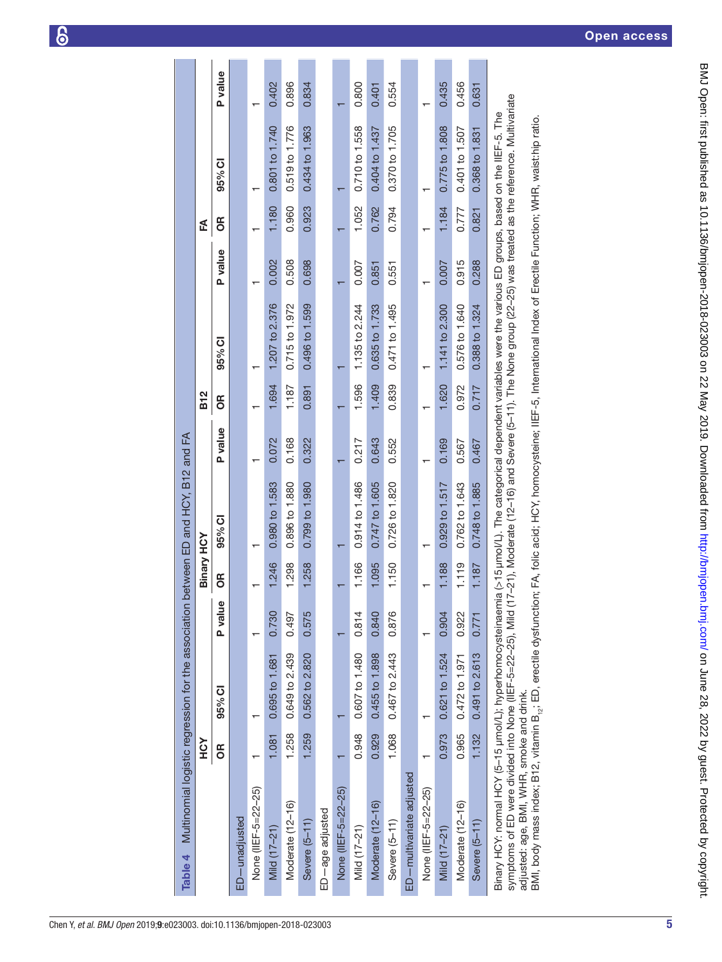<span id="page-4-0"></span>

| Table 4                                                                                                                                                                                   |            | Multinomial logistic regression for the association |         |                   | between ED and HCY, B12 and FA                                                                                                                                                                                              |                |            |                |                |       |                |         |
|-------------------------------------------------------------------------------------------------------------------------------------------------------------------------------------------|------------|-----------------------------------------------------|---------|-------------------|-----------------------------------------------------------------------------------------------------------------------------------------------------------------------------------------------------------------------------|----------------|------------|----------------|----------------|-------|----------------|---------|
|                                                                                                                                                                                           | <b>ASH</b> |                                                     |         | <b>Binary HCY</b> |                                                                                                                                                                                                                             |                | <b>B12</b> |                |                | Ł     |                |         |
|                                                                                                                                                                                           | õ          | 95% CI                                              | P value | 6R                | 95% CI                                                                                                                                                                                                                      | <b>P</b> value | õ          | 95% CI         | <b>P</b> value | õ     | 95% CI         | P value |
| ED-unadjusted                                                                                                                                                                             |            |                                                     |         |                   |                                                                                                                                                                                                                             |                |            |                |                |       |                |         |
| None (IIEF-5=22-25)                                                                                                                                                                       |            |                                                     |         |                   |                                                                                                                                                                                                                             |                |            |                |                |       |                |         |
| Mild (17-21)                                                                                                                                                                              | 1.081      | 0.695 to 1.681                                      | 0.730   | 1.246             | 0.980 to 1.583                                                                                                                                                                                                              | 0.072          | 1.694      | 1.207 to 2.376 | 0.002          | 1,180 | 0.801 to 1.740 | 0.402   |
| Moderate (12-16)                                                                                                                                                                          | 1.258      | 0.649 to 2.439                                      | 0.497   | 1.298             | 0.896 to 1.880                                                                                                                                                                                                              | 0.168          | 1.187      | 0.715 to 1.972 | 0.508          | 0.960 | 0.519 to 1.776 | 0.896   |
| Severe (5-11)                                                                                                                                                                             | 1.259      | 0.562 to 2.820                                      | 0.575   | 1.258             | 0.799 to 1.980                                                                                                                                                                                                              | 0.322          | 0.891      | 0.496 to 1.599 | 0.698          | 0.923 | 0.434 to 1.963 | 0.834   |
| ED-age adjusted                                                                                                                                                                           |            |                                                     |         |                   |                                                                                                                                                                                                                             |                |            |                |                |       |                |         |
| None (IIEF-5=22-25)                                                                                                                                                                       |            |                                                     |         |                   |                                                                                                                                                                                                                             |                |            |                |                |       |                |         |
| Mild (17-21)                                                                                                                                                                              | 0.948      | 0.607 to 1.480                                      | 0.814   | 1.166             | 0.914 to 1.486                                                                                                                                                                                                              | 0.217          | 1.596      | 1.135 to 2.244 | 0.007          | 1.052 | 0.710 to 1.558 | 0.800   |
| Moderate (12-16)                                                                                                                                                                          | 0.929      | 0.455 to 1.898                                      | 0.840   | 1.095             | 0.747 to 1.605                                                                                                                                                                                                              | 0.643          | 1.409      | 0.635 to 1.733 | 0.851          | 0.762 | 0.404 to 1.437 | 0.401   |
| Severe (5-11)                                                                                                                                                                             | 1.068      | 0.467 to 2.443                                      | 0.876   | 1.150             | 0.726 to 1.820                                                                                                                                                                                                              | 0.552          | 0.839      | 0.471 to 1.495 | 0.551          | 0.794 | 0.370 to 1.705 | 0.554   |
| ED-multivariate adjusted                                                                                                                                                                  |            |                                                     |         |                   |                                                                                                                                                                                                                             |                |            |                |                |       |                |         |
| None (IIEF-5=22--25)                                                                                                                                                                      |            |                                                     |         |                   |                                                                                                                                                                                                                             |                |            |                |                |       |                |         |
| Mild (17-21)                                                                                                                                                                              | 0.973      | 0.621 to 1.524                                      | 0.904   | 1.188             | 0.929 to 1.517                                                                                                                                                                                                              | 0.169          | 1.620      | 1.141 to 2.300 | 0.007          | 1.184 | 0.775 to 1.808 | 0.435   |
| Moderate (12-16)                                                                                                                                                                          | 0.965      | 0.472 to 1.971                                      | 0.922   | 1.119             | 0.762 to 1.643                                                                                                                                                                                                              | 0.567          | 0.972      | 0.576 to 1.640 | 0.915          | 0.777 | 0.401 to 1.507 | 0.456   |
| Severe (5-11)                                                                                                                                                                             | 1.132      | 0.491 to 2.613                                      | 0.771   | 1.187             | 0.748 to 1.885                                                                                                                                                                                                              | 0.467          | 0.717      | 0.388 to 1.324 | 0.288          | 0.821 | 0.368 to 1.831 | 0.631   |
| Binary HCY: normal HCY (5-15 µmol/L); hyperhomocysteinaen<br>symptoms of ED were divided into None (IIEF-5=22-25), Mild<br>adjusted: age, BMI, WHR, smoke and drink.                      |            |                                                     |         |                   | 17-21), Moderate (12-16) and Severe (5-11). The None group (22-25) was treated as the reference. Multivariate<br>nia (>15 µmol/L). The categorical dependent variables were the various ED groups, based on the IIEF-5. The |                |            |                |                |       |                |         |
| BMI, body mass index; B12, vitamin B <sub>12</sub> ; ED, erectile dysfunction; FA, folic acid; HCY, homocysteine; IIEF-5, International Index of Erectile Function; WHR, waist:hip ratio. |            |                                                     |         |                   |                                                                                                                                                                                                                             |                |            |                |                |       |                |         |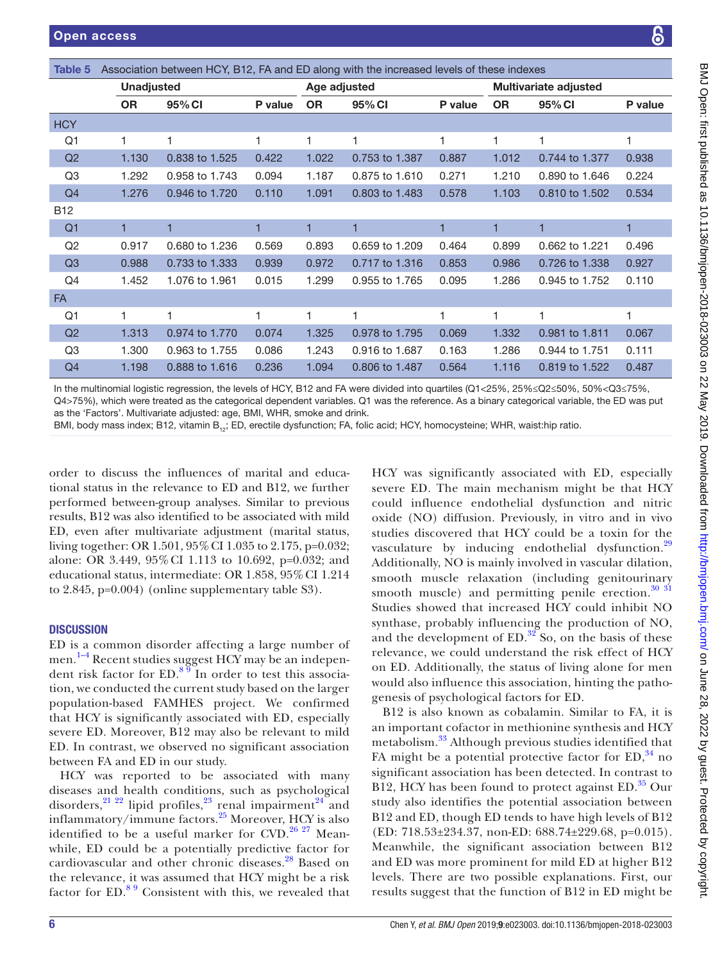<span id="page-5-0"></span>

| Association between HCY, B12, FA and ED along with the increased levels of these indexes<br>Table 5 |                   |                |         |           |                |         |           |                              |         |  |
|-----------------------------------------------------------------------------------------------------|-------------------|----------------|---------|-----------|----------------|---------|-----------|------------------------------|---------|--|
|                                                                                                     | <b>Unadjusted</b> |                |         |           | Age adjusted   |         |           | <b>Multivariate adjusted</b> |         |  |
|                                                                                                     | <b>OR</b>         | 95% CI         | P value | <b>OR</b> | 95% CI         | P value | <b>OR</b> | 95% CI                       | P value |  |
| <b>HCY</b>                                                                                          |                   |                |         |           |                |         |           |                              |         |  |
| Q1                                                                                                  | 1                 | 1              | 1       | 1         | 1              | 1       | 1         | 1                            | 1       |  |
| Q2                                                                                                  | 1.130             | 0.838 to 1.525 | 0.422   | 1.022     | 0.753 to 1.387 | 0.887   | 1.012     | 0.744 to 1.377               | 0.938   |  |
| Q <sub>3</sub>                                                                                      | 1.292             | 0.958 to 1.743 | 0.094   | 1.187     | 0.875 to 1.610 | 0.271   | 1.210     | 0.890 to 1.646               | 0.224   |  |
| Q4                                                                                                  | 1.276             | 0.946 to 1.720 | 0.110   | 1.091     | 0.803 to 1.483 | 0.578   | 1.103     | 0.810 to 1.502               | 0.534   |  |
| <b>B12</b>                                                                                          |                   |                |         |           |                |         |           |                              |         |  |
| Q <sub>1</sub>                                                                                      | 1                 | 1              | 1       | 1         |                |         | 1         | 1                            | 1       |  |
| Q2                                                                                                  | 0.917             | 0.680 to 1.236 | 0.569   | 0.893     | 0.659 to 1.209 | 0.464   | 0.899     | 0.662 to 1.221               | 0.496   |  |
| Q3                                                                                                  | 0.988             | 0.733 to 1.333 | 0.939   | 0.972     | 0.717 to 1.316 | 0.853   | 0.986     | 0.726 to 1.338               | 0.927   |  |
| Q4                                                                                                  | 1.452             | 1.076 to 1.961 | 0.015   | 1.299     | 0.955 to 1.765 | 0.095   | 1.286     | 0.945 to 1.752               | 0.110   |  |
| <b>FA</b>                                                                                           |                   |                |         |           |                |         |           |                              |         |  |
| Q <sub>1</sub>                                                                                      | 1                 | 1              | 1       | 1         | 1              | 1       | 1         | $\mathbf{1}$                 | 1       |  |
| Q <sub>2</sub>                                                                                      | 1.313             | 0.974 to 1.770 | 0.074   | 1.325     | 0.978 to 1.795 | 0.069   | 1.332     | 0.981 to 1.811               | 0.067   |  |
| Q <sub>3</sub>                                                                                      | 1.300             | 0.963 to 1.755 | 0.086   | 1.243     | 0.916 to 1.687 | 0.163   | 1.286     | 0.944 to 1.751               | 0.111   |  |
| Q4                                                                                                  | 1.198             | 0.888 to 1.616 | 0.236   | 1.094     | 0.806 to 1.487 | 0.564   | 1.116     | 0.819 to 1.522               | 0.487   |  |

In the multinomial logistic regression, the levels of HCY, B12 and FA were divided into quartiles (Q1<25%, 25%≤Q2≤50%, 50%<Q3≤75%, Q4>75%), which were treated as the categorical dependent variables. Q1 was the reference. As a binary categorical variable, the ED was put as the 'Factors'. Multivariate adjusted: age, BMI, WHR, smoke and drink.

BMI, body mass index; B12, vitamin B<sub>12</sub>; ED, erectile dysfunction; FA, folic acid; HCY, homocysteine; WHR, waist:hip ratio.

order to discuss the influences of marital and educational status in the relevance to ED and B12, we further performed between-group analyses. Similar to previous results, B12 was also identified to be associated with mild ED, even after multivariate adjustment (marital status, living together: OR 1.501, 95%CI 1.035 to 2.175, p=0.032; alone: OR 3.449, 95%CI 1.113 to 10.692, p=0.032; and educational status, intermediate: OR 1.858, 95%CI 1.214 to 2.845, p=0.004) (online [supplementary table S3\)](https://dx.doi.org/10.1136/bmjopen-2018-023003).

#### **DISCUSSION**

ED is a common disorder affecting a large number of men.<sup>1-4</sup> Recent studies suggest HCY may be an independent risk factor for  $ED.^8$ <sup>99</sup> In order to test this association, we conducted the current study based on the larger population-based FAMHES project. We confirmed that HCY is significantly associated with ED, especially severe ED. Moreover, B12 may also be relevant to mild ED. In contrast, we observed no significant association between FA and ED in our study.

HCY was reported to be associated with many diseases and health conditions, such as psychological disorders,  $21^{22}$  lipid profiles,  $23$  renal impairment  $24^{24}$  $24^{24}$  and inflammatory/immune factors.[25](#page-6-16) Moreover, HCY is also identified to be a useful marker for  $CVD$ .<sup>[26 27](#page-7-0)</sup> Meanwhile, ED could be a potentially predictive factor for cardiovascular and other chronic diseases.<sup>[28](#page-7-1)</sup> Based on the relevance, it was assumed that HCY might be a risk factor for ED.[8 9](#page-6-5) Consistent with this, we revealed that

HCY was significantly associated with ED, especially severe ED. The main mechanism might be that HCY could influence endothelial dysfunction and nitric oxide (NO) diffusion. Previously, in vitro and in vivo studies discovered that HCY could be a toxin for the vasculature by inducing endothelial dysfunction.<sup>[29](#page-7-2)</sup> Additionally, NO is mainly involved in vascular dilation, smooth muscle relaxation (including genitourinary smooth muscle) and permitting penile erection. $30\frac{31}{10}$ Studies showed that increased HCY could inhibit NO synthase, probably influencing the production of NO, and the development of  $ED.^{32}$  $ED.^{32}$  $ED.^{32}$  So, on the basis of these relevance, we could understand the risk effect of HCY on ED. Additionally, the status of living alone for men would also influence this association, hinting the pathogenesis of psychological factors for ED.

B12 is also known as cobalamin. Similar to FA, it is an important cofactor in methionine synthesis and HCY metabolism.<sup>33</sup> Although previous studies identified that FA might be a potential protective factor for  $ED$ ,<sup>[34](#page-7-6)</sup> no significant association has been detected. In contrast to B12, HCY has been found to protect against  $ED.^35$  $ED.^35$  Our study also identifies the potential association between B12 and ED, though ED tends to have high levels of B12 (ED: 718.53±234.37, non-ED: 688.74±229.68, p=0.015). Meanwhile, the significant association between B12 and ED was more prominent for mild ED at higher B12 levels. There are two possible explanations. First, our results suggest that the function of B12 in ED might be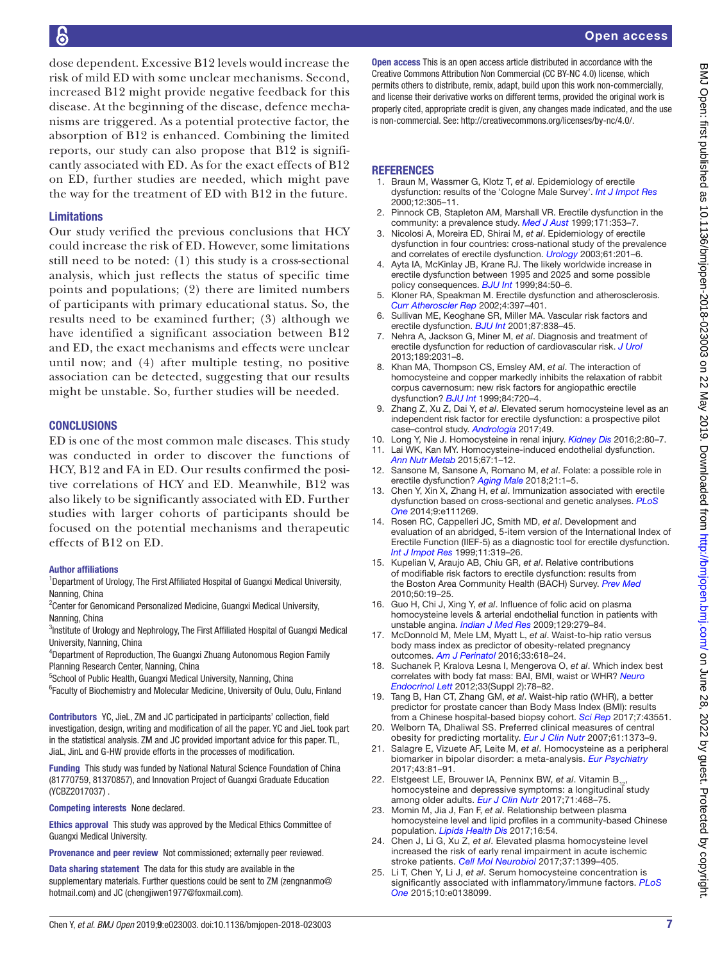dose dependent. Excessive B12 levels would increase the risk of mild ED with some unclear mechanisms. Second, increased B12 might provide negative feedback for this disease. At the beginning of the disease, defence mechanisms are triggered. As a potential protective factor, the absorption of B12 is enhanced. Combining the limited reports, our study can also propose that B12 is significantly associated with ED. As for the exact effects of B12 on ED, further studies are needed, which might pave the way for the treatment of ED with B12 in the future.

#### Limitations

Our study verified the previous conclusions that HCY could increase the risk of ED. However, some limitations still need to be noted: (1) this study is a cross-sectional analysis, which just reflects the status of specific time points and populations; (2) there are limited numbers of participants with primary educational status. So, the results need to be examined further; (3) although we have identified a significant association between B12 and ED, the exact mechanisms and effects were unclear until now; and (4) after multiple testing, no positive association can be detected, suggesting that our results might be unstable. So, further studies will be needed.

#### **CONCLUSIONS**

ED is one of the most common male diseases. This study was conducted in order to discover the functions of HCY, B12 and FA in ED. Our results confirmed the positive correlations of HCY and ED. Meanwhile, B12 was also likely to be significantly associated with ED. Further studies with larger cohorts of participants should be focused on the potential mechanisms and therapeutic effects of B12 on ED.

#### Author affiliations

<sup>1</sup>Department of Urology, The First Affiliated Hospital of Guangxi Medical University, Nanning, China

<sup>2</sup> Center for Genomicand Personalized Medicine, Guangxi Medical University, Nanning, China

<sup>3</sup>Institute of Urology and Nephrology, The First Affiliated Hospital of Guangxi Medical University, Nanning, China

4 Department of Reproduction, The Guangxi Zhuang Autonomous Region Family Planning Research Center, Nanning, China

<sup>5</sup>School of Public Health, Guangxi Medical University, Nanning, China

<sup>6</sup> Faculty of Biochemistry and Molecular Medicine, University of Oulu, Oulu, Finland

Contributors YC, JieL, ZM and JC participated in participants' collection, field investigation, design, writing and modification of all the paper. YC and JieL took part in the statistical analysis. ZM and JC provided important advice for this paper. TL, JiaL, JinL and G-HW provide efforts in the processes of modification.

Funding This study was funded by National Natural Science Foundation of China (81770759, 81370857), and Innovation Project of Guangxi Graduate Education (YCBZ2017037) .

Competing interests None declared.

Ethics approval This study was approved by the Medical Ethics Committee of Guangxi Medical University.

Provenance and peer review Not commissioned; externally peer reviewed.

Data sharing statement The data for this study are available in the supplementary materials. Further questions could be sent to ZM (zengnanmo@ hotmail.com) and JC (chengjiwen1977@foxmail.com).

Open access This is an open access article distributed in accordance with the Creative Commons Attribution Non Commercial (CC BY-NC 4.0) license, which permits others to distribute, remix, adapt, build upon this work non-commercially, and license their derivative works on different terms, provided the original work is properly cited, appropriate credit is given, any changes made indicated, and the use is non-commercial. See: [http://creativecommons.org/licenses/by-nc/4.0/.](http://creativecommons.org/licenses/by-nc/4.0/)

# **REFERENCES**

- <span id="page-6-0"></span>1. Braun M, Wassmer G, Klotz T, *et al*. Epidemiology of erectile dysfunction: results of the 'Cologne Male Survey'. *[Int J Impot Res](http://dx.doi.org/10.1038/sj.ijir.3900622)* 2000;12:305–11.
- <span id="page-6-1"></span>2. Pinnock CB, Stapleton AM, Marshall VR. Erectile dysfunction in the community: a prevalence study. *[Med J Aust](http://www.ncbi.nlm.nih.gov/pubmed/10590723)* 1999;171:353–7.
- 3. Nicolosi A, Moreira ED, Shirai M, *et al*. Epidemiology of erectile dysfunction in four countries: cross-national study of the prevalence and correlates of erectile dysfunction. *[Urology](http://dx.doi.org/10.1016/S0090-4295(02)02102-7)* 2003;61:201–6.
- <span id="page-6-2"></span>4. Ayta IA, McKinlay JB, Krane RJ. The likely worldwide increase in erectile dysfunction between 1995 and 2025 and some possible policy consequences. *[BJU Int](http://dx.doi.org/10.1046/j.1464-410x.1999.00142.x)* 1999;84:50–6.
- <span id="page-6-3"></span>5. Kloner RA, Speakman M. Erectile dysfunction and atherosclerosis. *[Curr Atheroscler Rep](http://dx.doi.org/10.1007/s11883-002-0078-3)* 2002;4:397–401.
- 6. Sullivan ME, Keoghane SR, Miller MA. Vascular risk factors and erectile dysfunction. *[BJU Int](http://dx.doi.org/10.1046/j.1464-410x.2001.02211.x)* 2001;87:838–45.
- <span id="page-6-4"></span>7. Nehra A, Jackson G, Miner M, *et al*. Diagnosis and treatment of erectile dysfunction for reduction of cardiovascular risk. *[J Urol](http://dx.doi.org/10.1016/j.juro.2012.12.107)* 2013;189:2031–8.
- <span id="page-6-5"></span>8. Khan MA, Thompson CS, Emsley AM, *et al*. The interaction of homocysteine and copper markedly inhibits the relaxation of rabbit corpus cavernosum: new risk factors for angiopathic erectile dysfunction? *[BJU Int](http://dx.doi.org/10.1046/j.1464-410x.1999.00253.x)* 1999;84:720–4.
- 9. Zhang Z, Xu Z, Dai Y, *et al*. Elevated serum homocysteine level as an independent risk factor for erectile dysfunction: a prospective pilot case–control study. *[Andrologia](http://dx.doi.org/10.1111/and.12684)* 2017;49.
- <span id="page-6-6"></span>10. Long Y, Nie J. Homocysteine in renal injury. *[Kidney Dis](http://dx.doi.org/10.1159/000444900)* 2016;2:80–7.
- 11. Lai WK, Kan MY. Homocysteine-induced endothelial dysfunction. *[Ann Nutr Metab](http://dx.doi.org/10.1159/000437098)* 2015;67:1–12.
- <span id="page-6-7"></span>12. Sansone M, Sansone A, Romano M, *et al*. Folate: a possible role in erectile dysfunction? *[Aging Male](http://dx.doi.org/10.1080/13685538.2017.1404022)* 2018;21:1–5.
- <span id="page-6-8"></span>13. Chen Y, Xin X, Zhang H, *et al*. Immunization associated with erectile dysfunction based on cross-sectional and genetic analyses. *[PLoS](http://dx.doi.org/10.1371/journal.pone.0111269)  [One](http://dx.doi.org/10.1371/journal.pone.0111269)* 2014;9:e111269.
- <span id="page-6-9"></span>14. Rosen RC, Cappelleri JC, Smith MD, *et al*. Development and evaluation of an abridged, 5-item version of the International Index of Erectile Function (IIEF-5) as a diagnostic tool for erectile dysfunction. *[Int J Impot Res](http://dx.doi.org/10.1038/sj.ijir.3900472)* 1999;11:319–26.
- 15. Kupelian V, Araujo AB, Chiu GR, *et al*. Relative contributions of modifiable risk factors to erectile dysfunction: results from the Boston Area Community Health (BACH) Survey. *[Prev Med](http://dx.doi.org/10.1016/j.ypmed.2009.11.006)* 2010;50:19–25.
- <span id="page-6-10"></span>16. Guo H, Chi J, Xing Y, *et al*. Influence of folic acid on plasma homocysteine levels & arterial endothelial function in patients with unstable angina. *[Indian J Med Res](http://www.ncbi.nlm.nih.gov/pubmed/19491420)* 2009;129:279–84.
- <span id="page-6-11"></span>17. McDonnold M, Mele LM, Myatt L, *et al*. Waist-to-hip ratio versus body mass index as predictor of obesity-related pregnancy outcomes. *[Am J Perinatol](http://dx.doi.org/10.1055/s-0035-1569986)* 2016;33:618–24.
- 18. Suchanek P, Kralova Lesna I, Mengerova O, *et al*. Which index best correlates with body fat mass: BAI, BMI, waist or WHR? *[Neuro](http://www.ncbi.nlm.nih.gov/pubmed/23183515)  [Endocrinol Lett](http://www.ncbi.nlm.nih.gov/pubmed/23183515)* 2012;33(Suppl 2):78–82.
- <span id="page-6-12"></span>19. Tang B, Han CT, Zhang GM, *et al*. Waist-hip ratio (WHR), a better predictor for prostate cancer than Body Mass Index (BMI): results from a Chinese hospital-based biopsy cohort. *[Sci Rep](http://dx.doi.org/10.1038/srep43551)* 2017;7:43551.
- 20. Welborn TA, Dhaliwal SS. Preferred clinical measures of central obesity for predicting mortality. *[Eur J Clin Nutr](http://dx.doi.org/10.1038/sj.ejcn.1602656)* 2007;61:1373–9.
- <span id="page-6-13"></span>21. Salagre E, Vizuete AF, Leite M, *et al*. Homocysteine as a peripheral biomarker in bipolar disorder: a meta-analysis. *[Eur Psychiatry](http://dx.doi.org/10.1016/j.eurpsy.2017.02.482)* 2017;43:81–91.
- 22. Elstgeest LE, Brouwer IA, Penninx BW, et al. Vitamin B., homocysteine and depressive symptoms: a longitudinal study among older adults. *[Eur J Clin Nutr](http://dx.doi.org/10.1038/ejcn.2016.224)* 2017;71:468–75.
- <span id="page-6-14"></span>23. Momin M, Jia J, Fan F, *et al*. Relationship between plasma homocysteine level and lipid profiles in a community-based Chinese population. *[Lipids Health Dis](http://dx.doi.org/10.1186/s12944-017-0441-6)* 2017;16:54.
- <span id="page-6-15"></span>24. Chen J, Li G, Xu Z, *et al*. Elevated plasma homocysteine level increased the risk of early renal impairment in acute ischemic stroke patients. *[Cell Mol Neurobiol](http://dx.doi.org/10.1007/s10571-017-0470-8)* 2017;37:1399–405.
- <span id="page-6-16"></span>25. Li T, Chen Y, Li J, *et al*. Serum homocysteine concentration is significantly associated with inflammatory/immune factors. *[PLoS](http://dx.doi.org/10.1371/journal.pone.0138099)  [One](http://dx.doi.org/10.1371/journal.pone.0138099)* 2015;10:e0138099.